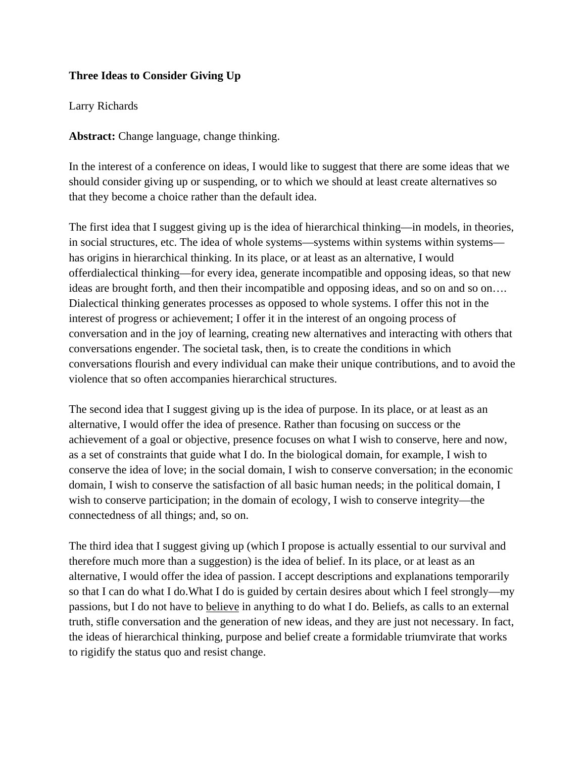## **Three Ideas to Consider Giving Up**

## Larry Richards

**Abstract:** Change language, change thinking.

In the interest of a conference on ideas, I would like to suggest that there are some ideas that we should consider giving up or suspending, or to which we should at least create alternatives so that they become a choice rather than the default idea.

The first idea that I suggest giving up is the idea of hierarchical thinking—in models, in theories, in social structures, etc. The idea of whole systems—systems within systems within systems has origins in hierarchical thinking. In its place, or at least as an alternative, I would offerdialectical thinking—for every idea, generate incompatible and opposing ideas, so that new ideas are brought forth, and then their incompatible and opposing ideas, and so on and so on…. Dialectical thinking generates processes as opposed to whole systems. I offer this not in the interest of progress or achievement; I offer it in the interest of an ongoing process of conversation and in the joy of learning, creating new alternatives and interacting with others that conversations engender. The societal task, then, is to create the conditions in which conversations flourish and every individual can make their unique contributions, and to avoid the violence that so often accompanies hierarchical structures.

The second idea that I suggest giving up is the idea of purpose. In its place, or at least as an alternative, I would offer the idea of presence. Rather than focusing on success or the achievement of a goal or objective, presence focuses on what I wish to conserve, here and now, as a set of constraints that guide what I do. In the biological domain, for example, I wish to conserve the idea of love; in the social domain, I wish to conserve conversation; in the economic domain, I wish to conserve the satisfaction of all basic human needs; in the political domain, I wish to conserve participation; in the domain of ecology, I wish to conserve integrity—the connectedness of all things; and, so on.

The third idea that I suggest giving up (which I propose is actually essential to our survival and therefore much more than a suggestion) is the idea of belief. In its place, or at least as an alternative, I would offer the idea of passion. I accept descriptions and explanations temporarily so that I can do what I do.What I do is guided by certain desires about which I feel strongly—my passions, but I do not have to believe in anything to do what I do. Beliefs, as calls to an external truth, stifle conversation and the generation of new ideas, and they are just not necessary. In fact, the ideas of hierarchical thinking, purpose and belief create a formidable triumvirate that works to rigidify the status quo and resist change.